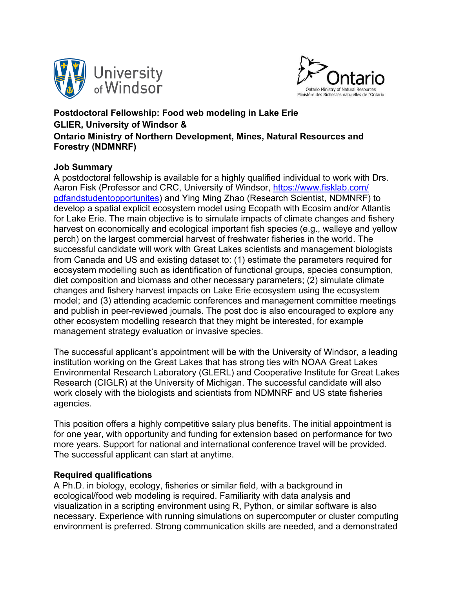



## **Postdoctoral Fellowship: Food web modeling in Lake Erie GLIER, University of Windsor & Ontario Ministry of Northern Development, Mines, Natural Resources and Forestry (NDMNRF)**

#### **Job Summary**

A postdoctoral fellowship is available for a highly qualified individual to work with Drs. Aaron Fisk (Professor and CRC, University of Windsor, https://www.fisklab.com/ pdfandstudentopportunites) and Ying Ming Zhao (Research Scientist, NDMNRF) to develop a spatial explicit ecosystem model using Ecopath with Ecosim and/or Atlantis for Lake Erie. The main objective is to simulate impacts of climate changes and fishery harvest on economically and ecological important fish species (e.g., walleye and yellow perch) on the largest commercial harvest of freshwater fisheries in the world. The successful candidate will work with Great Lakes scientists and management biologists from Canada and US and existing dataset to: (1) estimate the parameters required for ecosystem modelling such as identification of functional groups, species consumption, diet composition and biomass and other necessary parameters; (2) simulate climate changes and fishery harvest impacts on Lake Erie ecosystem using the ecosystem model; and (3) attending academic conferences and management committee meetings and publish in peer-reviewed journals. The post doc is also encouraged to explore any other ecosystem modelling research that they might be interested, for example management strategy evaluation or invasive species.

The successful applicant's appointment will be with the University of Windsor, a leading institution working on the Great Lakes that has strong ties with NOAA Great Lakes Environmental Research Laboratory (GLERL) and Cooperative Institute for Great Lakes Research (CIGLR) at the University of Michigan. The successful candidate will also work closely with the biologists and scientists from NDMNRF and US state fisheries agencies.

This position offers a highly competitive salary plus benefits. The initial appointment is for one year, with opportunity and funding for extension based on performance for two more years. Support for national and international conference travel will be provided. The successful applicant can start at anytime.

#### **Required qualifications**

A Ph.D. in biology, ecology, fisheries or similar field, with a background in ecological/food web modeling is required. Familiarity with data analysis and visualization in a scripting environment using R, Python, or similar software is also necessary. Experience with running simulations on supercomputer or cluster computing environment is preferred. Strong communication skills are needed, and a demonstrated